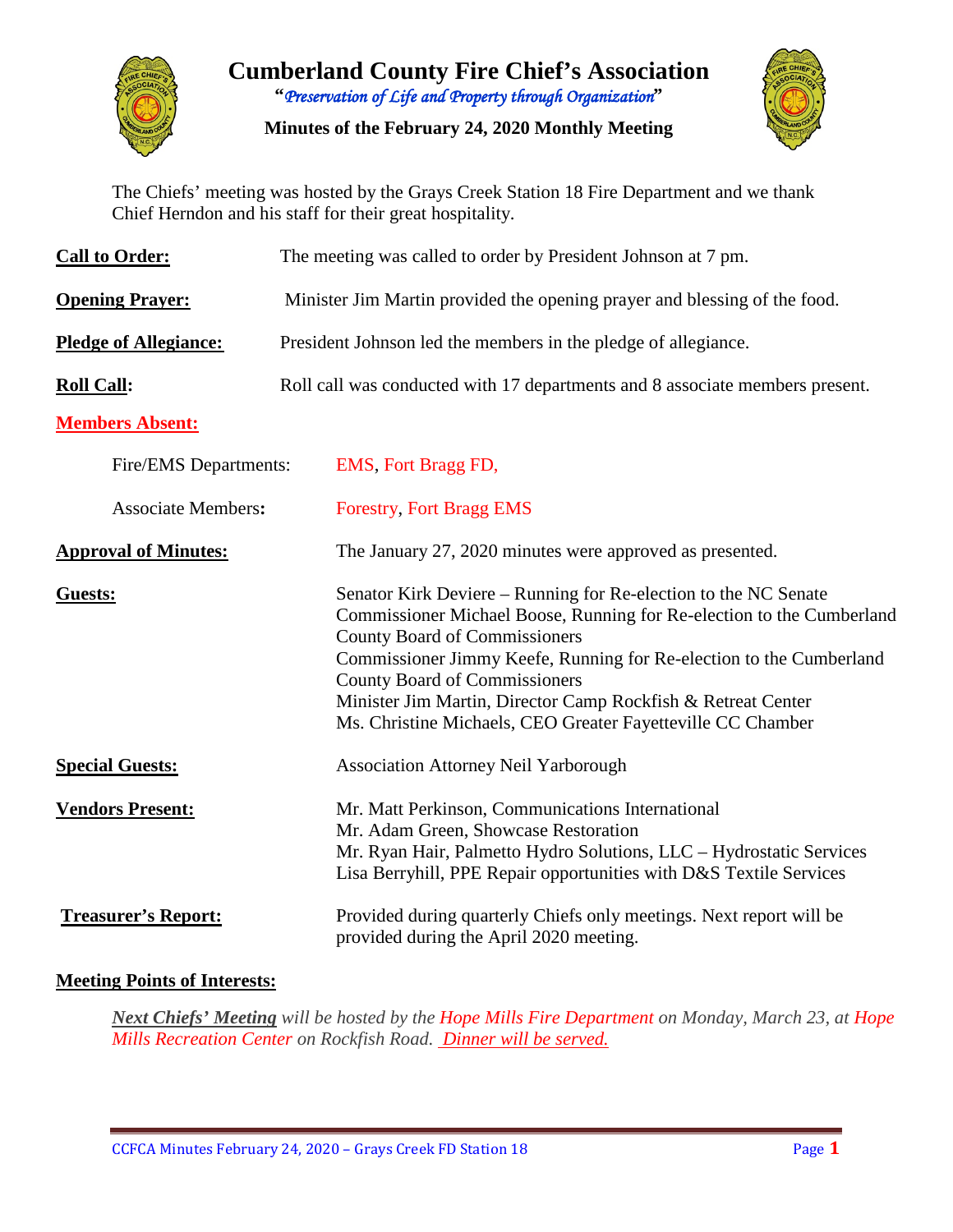

**Cumberland County Fire Chief's Association "***Preservation of Life and Property through Organization***"**

**Minutes of the February 24, 2020 Monthly Meeting**



The Chiefs' meeting was hosted by the Grays Creek Station 18 Fire Department and we thank Chief Herndon and his staff for their great hospitality.

| <b>Call to Order:</b>        | The meeting was called to order by President Johnson at 7 pm.                                                                                                                                                                                                                                                                                                                                                                  |  |  |  |  |  |  |  |
|------------------------------|--------------------------------------------------------------------------------------------------------------------------------------------------------------------------------------------------------------------------------------------------------------------------------------------------------------------------------------------------------------------------------------------------------------------------------|--|--|--|--|--|--|--|
| <b>Opening Prayer:</b>       | Minister Jim Martin provided the opening prayer and blessing of the food.                                                                                                                                                                                                                                                                                                                                                      |  |  |  |  |  |  |  |
| <b>Pledge of Allegiance:</b> | President Johnson led the members in the pledge of allegiance.                                                                                                                                                                                                                                                                                                                                                                 |  |  |  |  |  |  |  |
| <b>Roll Call:</b>            | Roll call was conducted with 17 departments and 8 associate members present.                                                                                                                                                                                                                                                                                                                                                   |  |  |  |  |  |  |  |
| <b>Members Absent:</b>       |                                                                                                                                                                                                                                                                                                                                                                                                                                |  |  |  |  |  |  |  |
| Fire/EMS Departments:        | EMS, Fort Bragg FD,                                                                                                                                                                                                                                                                                                                                                                                                            |  |  |  |  |  |  |  |
| <b>Associate Members:</b>    | <b>Forestry, Fort Bragg EMS</b>                                                                                                                                                                                                                                                                                                                                                                                                |  |  |  |  |  |  |  |
| <b>Approval of Minutes:</b>  | The January 27, 2020 minutes were approved as presented.                                                                                                                                                                                                                                                                                                                                                                       |  |  |  |  |  |  |  |
| Guests:                      | Senator Kirk Deviere – Running for Re-election to the NC Senate<br>Commissioner Michael Boose, Running for Re-election to the Cumberland<br><b>County Board of Commissioners</b><br>Commissioner Jimmy Keefe, Running for Re-election to the Cumberland<br><b>County Board of Commissioners</b><br>Minister Jim Martin, Director Camp Rockfish & Retreat Center<br>Ms. Christine Michaels, CEO Greater Fayetteville CC Chamber |  |  |  |  |  |  |  |
| <b>Special Guests:</b>       | <b>Association Attorney Neil Yarborough</b>                                                                                                                                                                                                                                                                                                                                                                                    |  |  |  |  |  |  |  |
| <b>Vendors Present:</b>      | Mr. Matt Perkinson, Communications International<br>Mr. Adam Green, Showcase Restoration<br>Mr. Ryan Hair, Palmetto Hydro Solutions, LLC - Hydrostatic Services<br>Lisa Berryhill, PPE Repair opportunities with D&S Textile Services                                                                                                                                                                                          |  |  |  |  |  |  |  |
| <b>Treasurer's Report:</b>   | Provided during quarterly Chiefs only meetings. Next report will be<br>provided during the April 2020 meeting.                                                                                                                                                                                                                                                                                                                 |  |  |  |  |  |  |  |

## **Meeting Points of Interests:**

*Next Chiefs' Meeting will be hosted by the Hope Mills Fire Department on Monday, March 23, at Hope Mills Recreation Center on Rockfish Road. Dinner will be served.*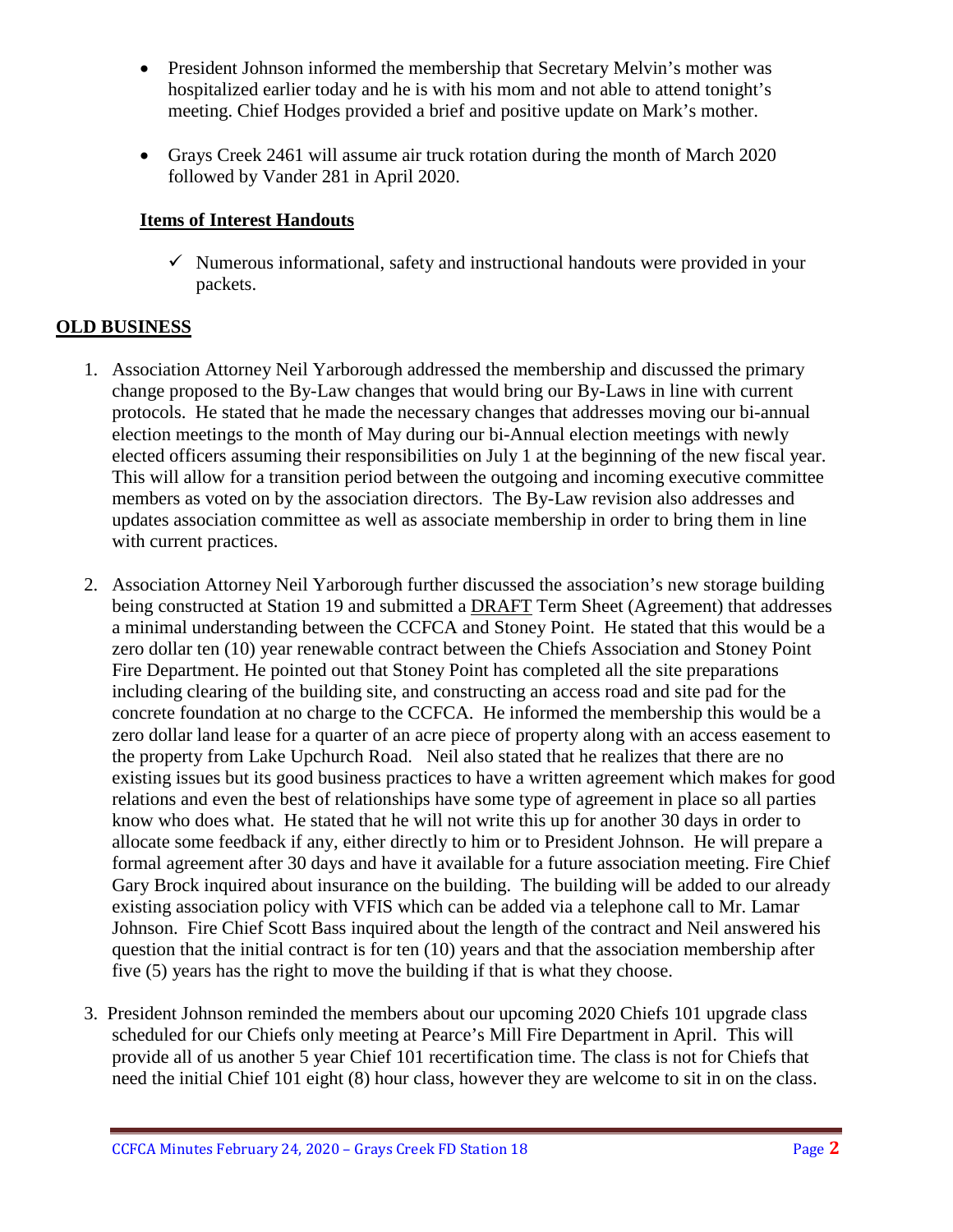- President Johnson informed the membership that Secretary Melvin's mother was hospitalized earlier today and he is with his mom and not able to attend tonight's meeting. Chief Hodges provided a brief and positive update on Mark's mother.
- Grays Creek 2461 will assume air truck rotation during the month of March 2020 followed by Vander 281 in April 2020.

## **Items of Interest Handouts**

 $\checkmark$  Numerous informational, safety and instructional handouts were provided in your packets.

# **OLD BUSINESS**

- 1. Association Attorney Neil Yarborough addressed the membership and discussed the primary change proposed to the By-Law changes that would bring our By-Laws in line with current protocols. He stated that he made the necessary changes that addresses moving our bi-annual election meetings to the month of May during our bi-Annual election meetings with newly elected officers assuming their responsibilities on July 1 at the beginning of the new fiscal year. This will allow for a transition period between the outgoing and incoming executive committee members as voted on by the association directors. The By-Law revision also addresses and updates association committee as well as associate membership in order to bring them in line with current practices.
- 2. Association Attorney Neil Yarborough further discussed the association's new storage building being constructed at Station 19 and submitted a DRAFT Term Sheet (Agreement) that addresses a minimal understanding between the CCFCA and Stoney Point. He stated that this would be a zero dollar ten (10) year renewable contract between the Chiefs Association and Stoney Point Fire Department. He pointed out that Stoney Point has completed all the site preparations including clearing of the building site, and constructing an access road and site pad for the concrete foundation at no charge to the CCFCA. He informed the membership this would be a zero dollar land lease for a quarter of an acre piece of property along with an access easement to the property from Lake Upchurch Road. Neil also stated that he realizes that there are no existing issues but its good business practices to have a written agreement which makes for good relations and even the best of relationships have some type of agreement in place so all parties know who does what. He stated that he will not write this up for another 30 days in order to allocate some feedback if any, either directly to him or to President Johnson. He will prepare a formal agreement after 30 days and have it available for a future association meeting. Fire Chief Gary Brock inquired about insurance on the building. The building will be added to our already existing association policy with VFIS which can be added via a telephone call to Mr. Lamar Johnson. Fire Chief Scott Bass inquired about the length of the contract and Neil answered his question that the initial contract is for ten (10) years and that the association membership after five (5) years has the right to move the building if that is what they choose.
- 3. President Johnson reminded the members about our upcoming 2020 Chiefs 101 upgrade class scheduled for our Chiefs only meeting at Pearce's Mill Fire Department in April. This will provide all of us another 5 year Chief 101 recertification time. The class is not for Chiefs that need the initial Chief 101 eight (8) hour class, however they are welcome to sit in on the class.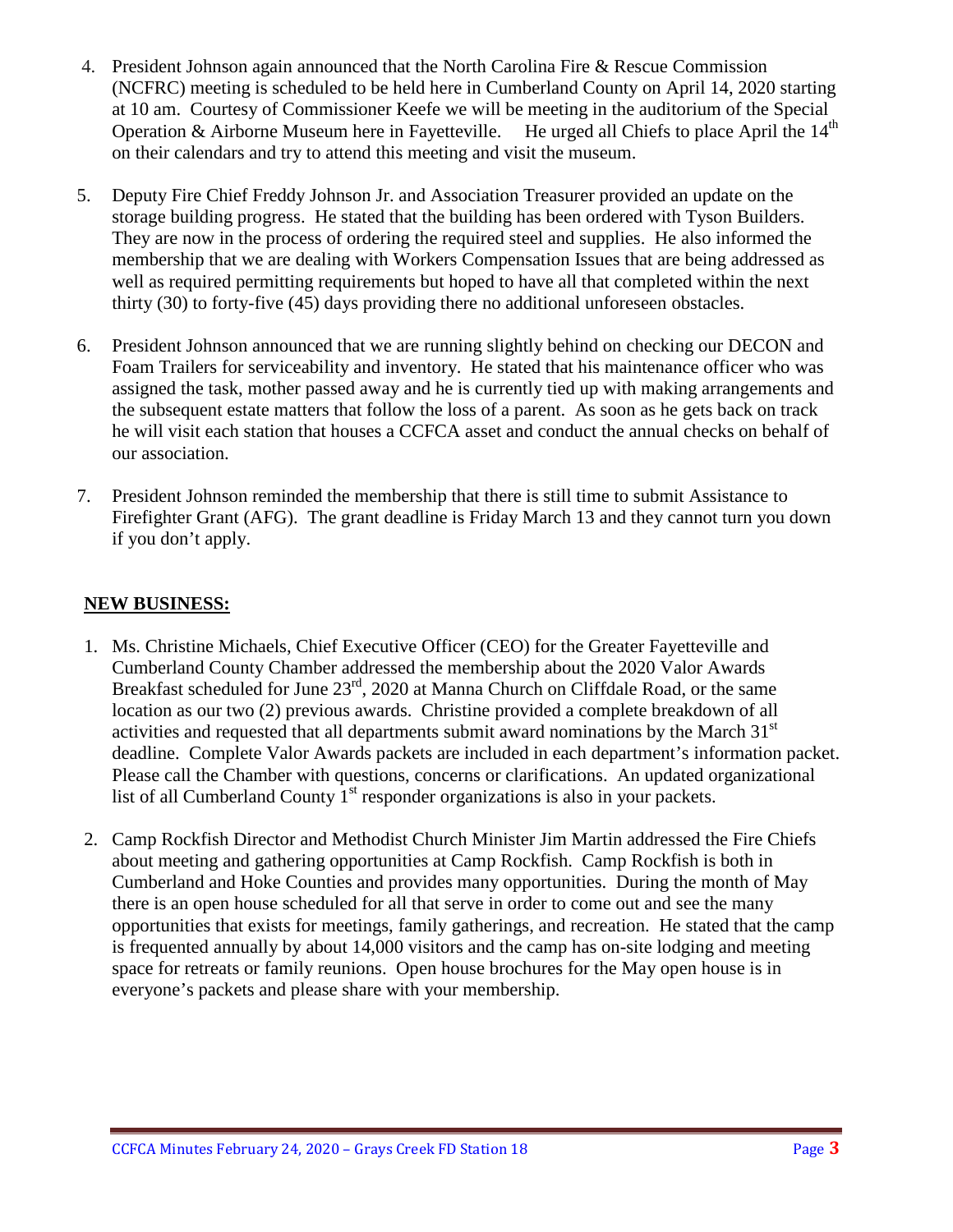- 4. President Johnson again announced that the North Carolina Fire & Rescue Commission (NCFRC) meeting is scheduled to be held here in Cumberland County on April 14, 2020 starting at 10 am. Courtesy of Commissioner Keefe we will be meeting in the auditorium of the Special Operation & Airborne Museum here in Fayetteville. He urged all Chiefs to place April the  $14<sup>th</sup>$ on their calendars and try to attend this meeting and visit the museum.
- 5. Deputy Fire Chief Freddy Johnson Jr. and Association Treasurer provided an update on the storage building progress. He stated that the building has been ordered with Tyson Builders. They are now in the process of ordering the required steel and supplies. He also informed the membership that we are dealing with Workers Compensation Issues that are being addressed as well as required permitting requirements but hoped to have all that completed within the next thirty (30) to forty-five (45) days providing there no additional unforeseen obstacles.
- 6. President Johnson announced that we are running slightly behind on checking our DECON and Foam Trailers for serviceability and inventory. He stated that his maintenance officer who was assigned the task, mother passed away and he is currently tied up with making arrangements and the subsequent estate matters that follow the loss of a parent. As soon as he gets back on track he will visit each station that houses a CCFCA asset and conduct the annual checks on behalf of our association.
- 7. President Johnson reminded the membership that there is still time to submit Assistance to Firefighter Grant (AFG). The grant deadline is Friday March 13 and they cannot turn you down if you don't apply.

# **NEW BUSINESS:**

- 1. Ms. Christine Michaels, Chief Executive Officer (CEO) for the Greater Fayetteville and Cumberland County Chamber addressed the membership about the 2020 Valor Awards Breakfast scheduled for June 23<sup>rd</sup>, 2020 at Manna Church on Cliffdale Road, or the same location as our two (2) previous awards. Christine provided a complete breakdown of all activities and requested that all departments submit award nominations by the March 31<sup>st</sup> deadline. Complete Valor Awards packets are included in each department's information packet. Please call the Chamber with questions, concerns or clarifications. An updated organizational list of all Cumberland County  $1<sup>st</sup>$  responder organizations is also in your packets.
- 2. Camp Rockfish Director and Methodist Church Minister Jim Martin addressed the Fire Chiefs about meeting and gathering opportunities at Camp Rockfish. Camp Rockfish is both in Cumberland and Hoke Counties and provides many opportunities. During the month of May there is an open house scheduled for all that serve in order to come out and see the many opportunities that exists for meetings, family gatherings, and recreation. He stated that the camp is frequented annually by about 14,000 visitors and the camp has on-site lodging and meeting space for retreats or family reunions. Open house brochures for the May open house is in everyone's packets and please share with your membership.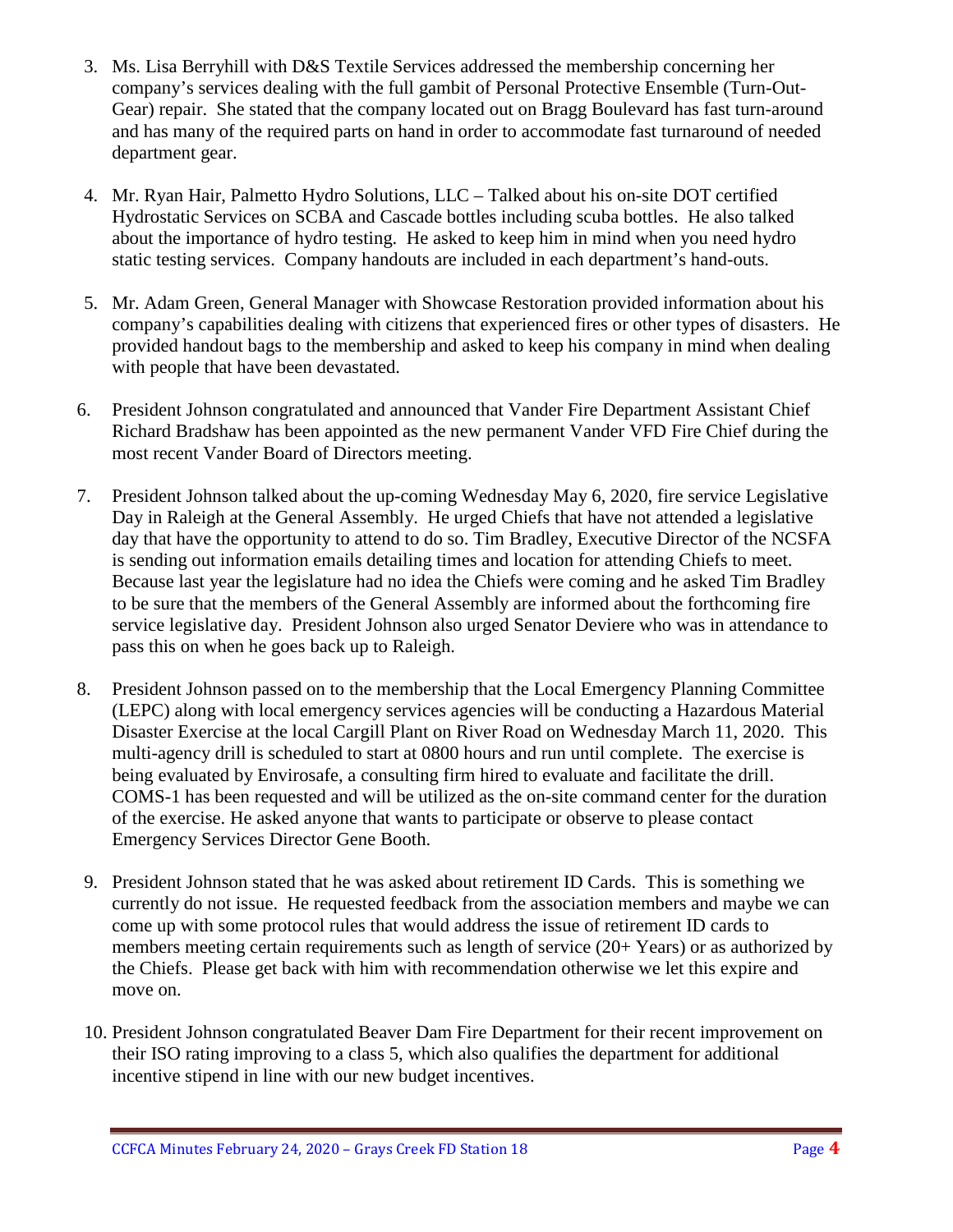- 3. Ms. Lisa Berryhill with D&S Textile Services addressed the membership concerning her company's services dealing with the full gambit of Personal Protective Ensemble (Turn-Out-Gear) repair. She stated that the company located out on Bragg Boulevard has fast turn-around and has many of the required parts on hand in order to accommodate fast turnaround of needed department gear.
- 4. Mr. Ryan Hair, Palmetto Hydro Solutions, LLC Talked about his on-site DOT certified Hydrostatic Services on SCBA and Cascade bottles including scuba bottles. He also talked about the importance of hydro testing. He asked to keep him in mind when you need hydro static testing services. Company handouts are included in each department's hand-outs.
- 5. Mr. Adam Green, General Manager with Showcase Restoration provided information about his company's capabilities dealing with citizens that experienced fires or other types of disasters. He provided handout bags to the membership and asked to keep his company in mind when dealing with people that have been devastated.
- 6. President Johnson congratulated and announced that Vander Fire Department Assistant Chief Richard Bradshaw has been appointed as the new permanent Vander VFD Fire Chief during the most recent Vander Board of Directors meeting.
- 7. President Johnson talked about the up-coming Wednesday May 6, 2020, fire service Legislative Day in Raleigh at the General Assembly. He urged Chiefs that have not attended a legislative day that have the opportunity to attend to do so. Tim Bradley, Executive Director of the NCSFA is sending out information emails detailing times and location for attending Chiefs to meet. Because last year the legislature had no idea the Chiefs were coming and he asked Tim Bradley to be sure that the members of the General Assembly are informed about the forthcoming fire service legislative day. President Johnson also urged Senator Deviere who was in attendance to pass this on when he goes back up to Raleigh.
- 8. President Johnson passed on to the membership that the Local Emergency Planning Committee (LEPC) along with local emergency services agencies will be conducting a Hazardous Material Disaster Exercise at the local Cargill Plant on River Road on Wednesday March 11, 2020. This multi-agency drill is scheduled to start at 0800 hours and run until complete. The exercise is being evaluated by Envirosafe, a consulting firm hired to evaluate and facilitate the drill. COMS-1 has been requested and will be utilized as the on-site command center for the duration of the exercise. He asked anyone that wants to participate or observe to please contact Emergency Services Director Gene Booth.
- 9. President Johnson stated that he was asked about retirement ID Cards. This is something we currently do not issue. He requested feedback from the association members and maybe we can come up with some protocol rules that would address the issue of retirement ID cards to members meeting certain requirements such as length of service (20+ Years) or as authorized by the Chiefs. Please get back with him with recommendation otherwise we let this expire and move on.
- 10. President Johnson congratulated Beaver Dam Fire Department for their recent improvement on their ISO rating improving to a class 5, which also qualifies the department for additional incentive stipend in line with our new budget incentives.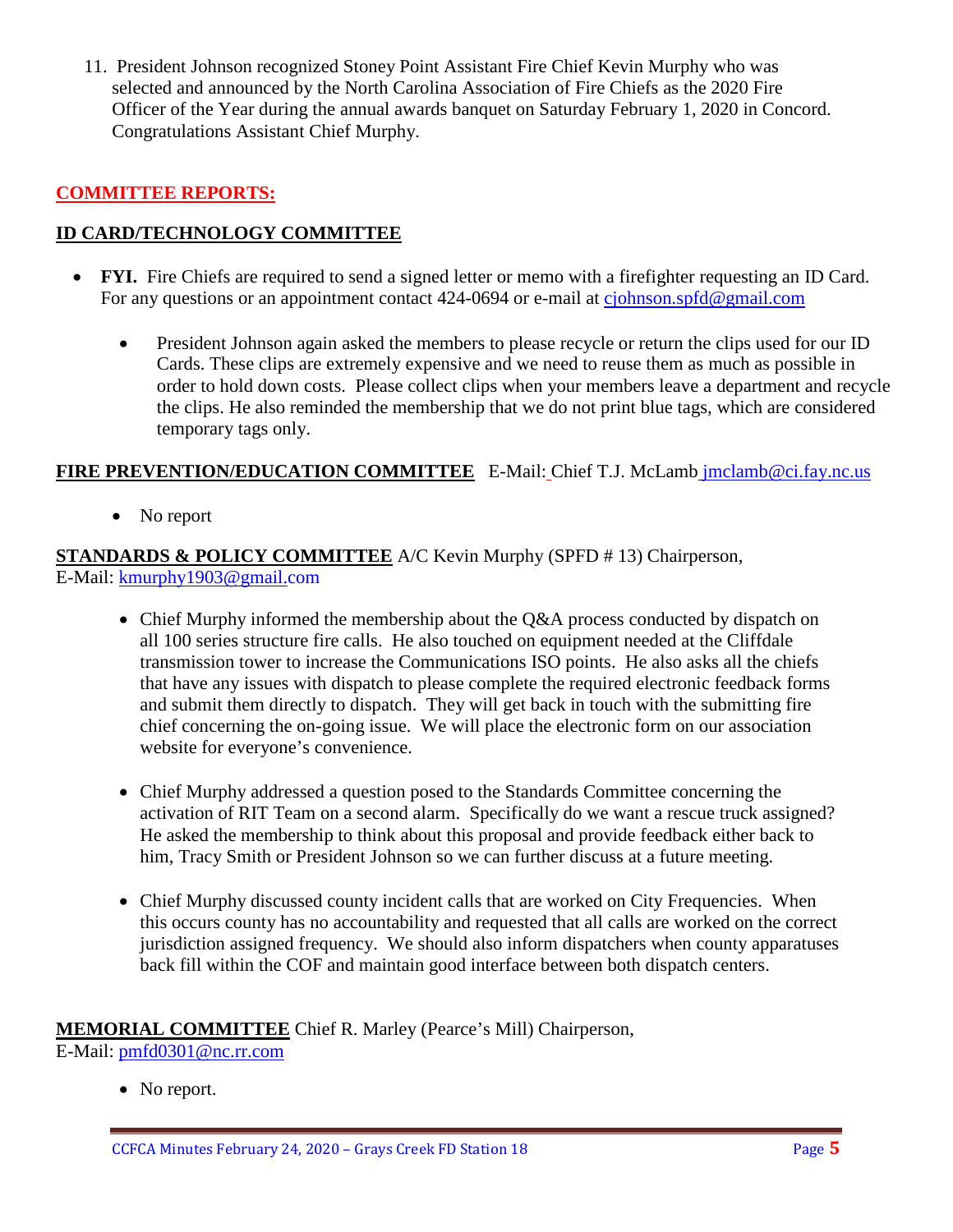11. President Johnson recognized Stoney Point Assistant Fire Chief Kevin Murphy who was selected and announced by the North Carolina Association of Fire Chiefs as the 2020 Fire Officer of the Year during the annual awards banquet on Saturday February 1, 2020 in Concord. Congratulations Assistant Chief Murphy.

## **COMMITTEE REPORTS:**

## **ID CARD/TECHNOLOGY COMMITTEE**

- **FYI.** Fire Chiefs are required to send a signed letter or memo with a firefighter requesting an ID Card. For any questions or an appointment contact 424-0694 or e-mail at [cjohnson.spfd@gmail.com](mailto:cjohnson.spfd@gmail.com)
	- President Johnson again asked the members to please recycle or return the clips used for our ID Cards. These clips are extremely expensive and we need to reuse them as much as possible in order to hold down costs. Please collect clips when your members leave a department and recycle the clips. He also reminded the membership that we do not print blue tags, which are considered temporary tags only.

# **FIRE PREVENTION/EDUCATION COMMITTEE** E-Mail: Chief T.J. McLamb [jmclamb@ci.fay.nc.us](mailto:jmclamb@ci.fay.nc.us)

• No report

**STANDARDS & POLICY COMMITTEE** A/C Kevin Murphy (SPFD # 13) Chairperson, E-Mail: [kmurphy1903@gmail.com](mailto:kmurphy1903@gmail.com)

- Chief Murphy informed the membership about the Q&A process conducted by dispatch on all 100 series structure fire calls. He also touched on equipment needed at the Cliffdale transmission tower to increase the Communications ISO points. He also asks all the chiefs that have any issues with dispatch to please complete the required electronic feedback forms and submit them directly to dispatch. They will get back in touch with the submitting fire chief concerning the on-going issue. We will place the electronic form on our association website for everyone's convenience.
- Chief Murphy addressed a question posed to the Standards Committee concerning the activation of RIT Team on a second alarm. Specifically do we want a rescue truck assigned? He asked the membership to think about this proposal and provide feedback either back to him, Tracy Smith or President Johnson so we can further discuss at a future meeting.
- Chief Murphy discussed county incident calls that are worked on City Frequencies. When this occurs county has no accountability and requested that all calls are worked on the correct jurisdiction assigned frequency. We should also inform dispatchers when county apparatuses back fill within the COF and maintain good interface between both dispatch centers.

**MEMORIAL COMMITTEE** Chief R. Marley (Pearce's Mill) Chairperson, E-Mail: [pmfd0301@nc.rr.com](mailto:pmfd0301@nc.rr.com)

• No report.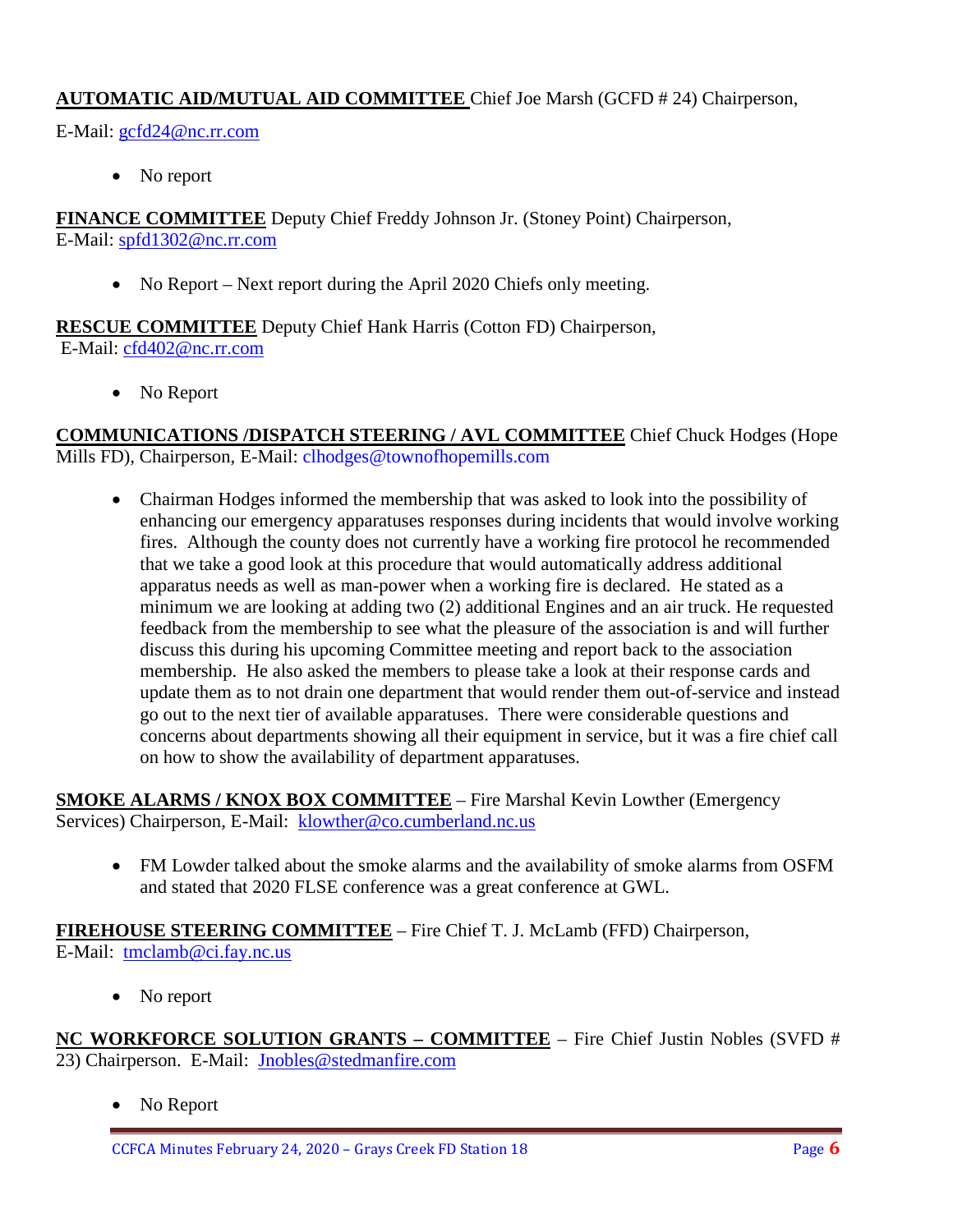## **AUTOMATIC AID/MUTUAL AID COMMITTEE** Chief Joe Marsh (GCFD # 24) Chairperson,

E-Mail: [gcfd24@nc.rr.com](mailto:gcfd24@nc.rr.com)

• No report

**FINANCE COMMITTEE** Deputy Chief Freddy Johnson Jr. (Stoney Point) Chairperson, E-Mail: [spfd1302@nc.rr.com](mailto:spfd1302@nc.rr.com)

• No Report – Next report during the April 2020 Chiefs only meeting.

**RESCUE COMMITTEE** Deputy Chief Hank Harris (Cotton FD) Chairperson, E-Mail: [cfd402@nc.rr.com](mailto:cfd402@nc.rr.com)

• No Report

**COMMUNICATIONS /DISPATCH STEERING / AVL COMMITTEE** Chief Chuck Hodges (Hope Mills FD), Chairperson, E-Mail: clhodges@townofhopemills.com

• Chairman Hodges informed the membership that was asked to look into the possibility of enhancing our emergency apparatuses responses during incidents that would involve working fires. Although the county does not currently have a working fire protocol he recommended that we take a good look at this procedure that would automatically address additional apparatus needs as well as man-power when a working fire is declared. He stated as a minimum we are looking at adding two (2) additional Engines and an air truck. He requested feedback from the membership to see what the pleasure of the association is and will further discuss this during his upcoming Committee meeting and report back to the association membership. He also asked the members to please take a look at their response cards and update them as to not drain one department that would render them out-of-service and instead go out to the next tier of available apparatuses. There were considerable questions and concerns about departments showing all their equipment in service, but it was a fire chief call on how to show the availability of department apparatuses.

**SMOKE ALARMS / KNOX BOX COMMITTEE** – Fire Marshal Kevin Lowther (Emergency Services) Chairperson, E-Mail: [klowther@co.cumberland.nc.us](mailto:klowther@co.cumberland.nc.us)

• FM Lowder talked about the smoke alarms and the availability of smoke alarms from OSFM and stated that 2020 FLSE conference was a great conference at GWL.

**FIREHOUSE STEERING COMMITTEE** – Fire Chief T. J. McLamb (FFD) Chairperson, E-Mail: [tmclamb@ci.fay.nc.us](mailto:tmclamb@ci.fay.nc.us)

• No report

**NC WORKFORCE SOLUTION GRANTS – COMMITTEE** – Fire Chief Justin Nobles (SVFD # 23) Chairperson. E-Mail: [Jnobles@stedmanfire.com](mailto:Jnobles@stedmanfire.com)

• No Report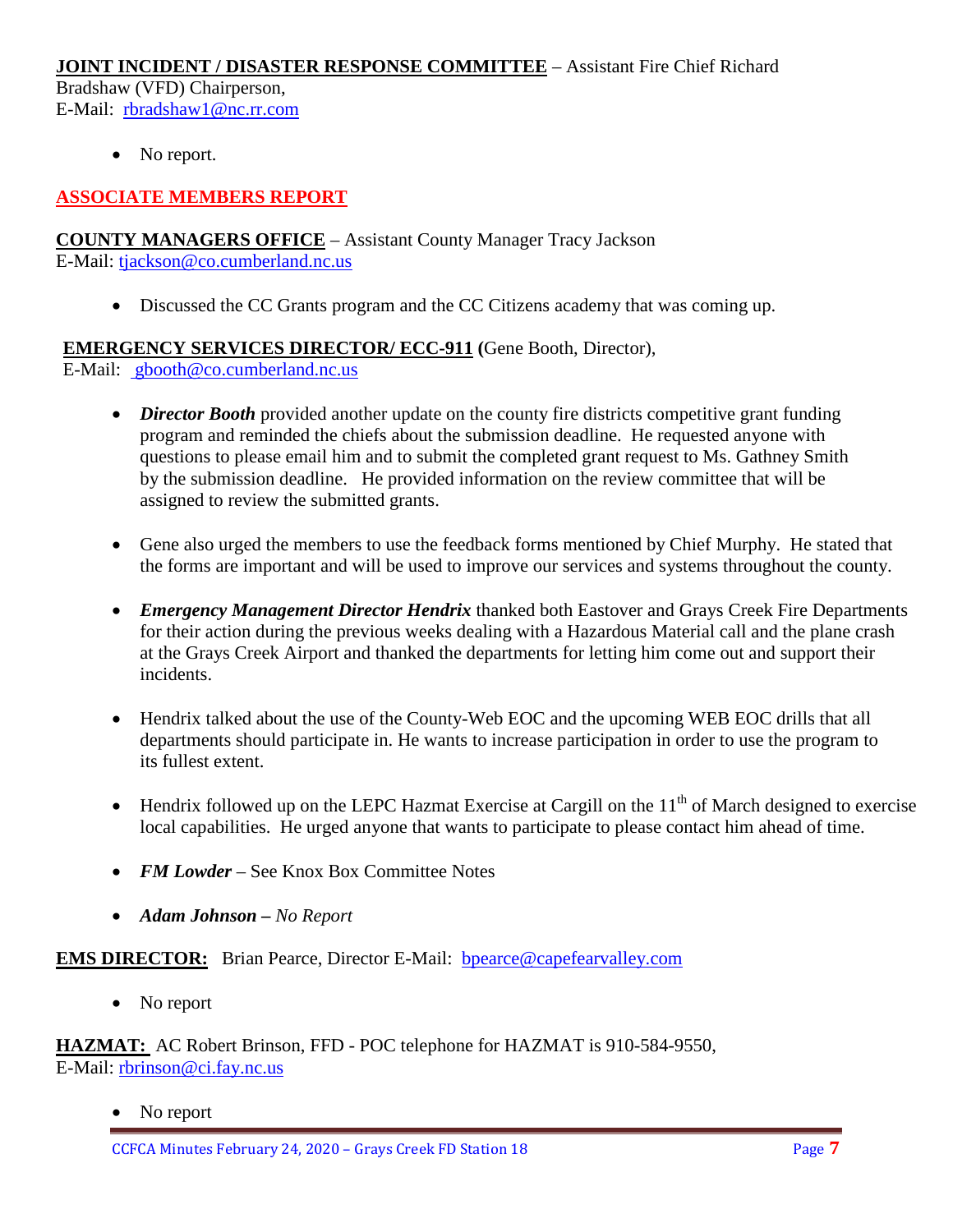#### **JOINT INCIDENT / DISASTER RESPONSE COMMITTEE** – Assistant Fire Chief Richard

Bradshaw (VFD) Chairperson, E-Mail: [rbradshaw1@nc.rr.com](mailto:rbradshaw1@nc.rr.com)

• No report.

# **ASSOCIATE MEMBERS REPORT**

**COUNTY MANAGERS OFFICE** – Assistant County Manager Tracy Jackson E-Mail: [tjackson@co.cumberland.nc.us](mailto:tjackson@co.cumberland.nc.us)

• Discussed the CC Grants program and the CC Citizens academy that was coming up.

**EMERGENCY SERVICES DIRECTOR/ ECC-911 (**Gene Booth, Director),

E-Mail: [gbooth@co.cumberland.nc.us](mailto:gbooth@co.cumberland.nc.us)

- *Director Booth* provided another update on the county fire districts competitive grant funding program and reminded the chiefs about the submission deadline. He requested anyone with questions to please email him and to submit the completed grant request to Ms. Gathney Smith by the submission deadline. He provided information on the review committee that will be assigned to review the submitted grants.
- Gene also urged the members to use the feedback forms mentioned by Chief Murphy. He stated that the forms are important and will be used to improve our services and systems throughout the county.
- *Emergency Management Director Hendrix* thanked both Eastover and Grays Creek Fire Departments for their action during the previous weeks dealing with a Hazardous Material call and the plane crash at the Grays Creek Airport and thanked the departments for letting him come out and support their incidents.
- Hendrix talked about the use of the County-Web EOC and the upcoming WEB EOC drills that all departments should participate in. He wants to increase participation in order to use the program to its fullest extent.
- Hendrix followed up on the LEPC Hazmat Exercise at Cargill on the  $11<sup>th</sup>$  of March designed to exercise local capabilities. He urged anyone that wants to participate to please contact him ahead of time.
- *FM Lowder* See Knox Box Committee Notes
- *Adam Johnson – No Report*

**EMS DIRECTOR:** Brian Pearce, Director E-Mail: bpearce@capefearvalley.com

• No report

**HAZMAT:** AC Robert Brinson, FFD - POC telephone for HAZMAT is 910-584-9550, E-Mail: [rbrinson@ci.fay.nc.us](mailto:rbrinson@ci.fay.nc.us)

• No report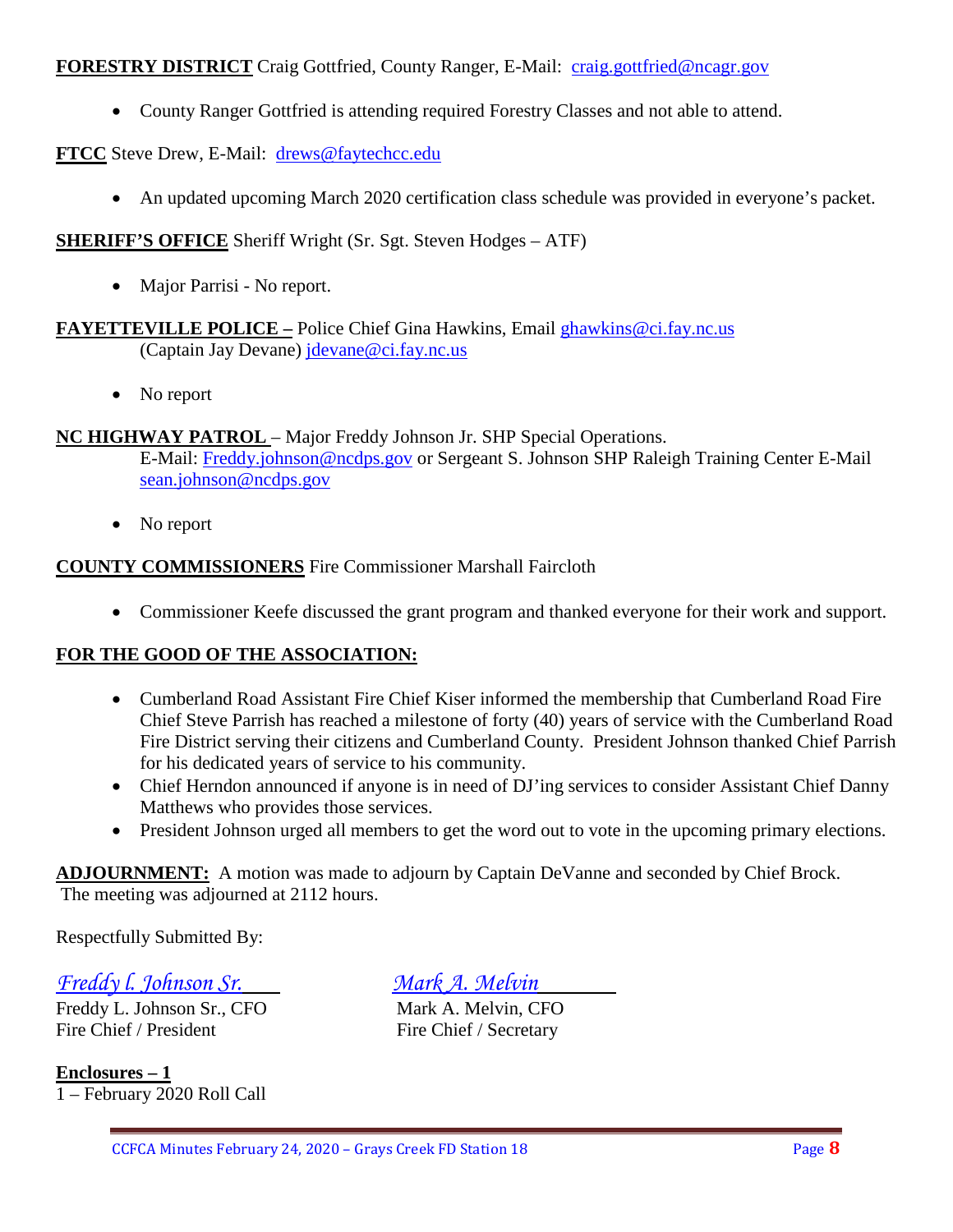## **FORESTRY DISTRICT** Craig Gottfried, County Ranger, E-Mail: [craig.gottfried@ncagr.gov](mailto:craig.gottfried@ncagr.gov)

• County Ranger Gottfried is attending required Forestry Classes and not able to attend.

## **FTCC** Steve Drew, E-Mail: [drews@faytechcc.edu](mailto:drews@faytechcc.edu)

• An updated upcoming March 2020 certification class schedule was provided in everyone's packet.

## **SHERIFF'S OFFICE** Sheriff Wright (Sr. Sgt. Steven Hodges – ATF)

• Major Parrisi - No report.

#### **FAYETTEVILLE POLICE –** Police Chief Gina Hawkins, Email [ghawkins@ci.fay.nc.us](mailto:ghawkins@ci.fay.nc.us)  (Captain Jay Devane) [jdevane@ci.fay.nc.us](mailto:jdevane@ci.fay.nc.us)

• No report

#### **NC HIGHWAY PATROL** – Major Freddy Johnson Jr. SHP Special Operations.

E-Mail: [Freddy.johnson@ncdps.gov](mailto:Freddy.johnson@ncdps.gov) or Sergeant S. Johnson SHP Raleigh Training Center E-Mail [sean.johnson@ncdps.gov](mailto:sean.johnson@ncdps.gov)

• No report

## **COUNTY COMMISSIONERS** Fire Commissioner Marshall Faircloth

• Commissioner Keefe discussed the grant program and thanked everyone for their work and support.

#### **FOR THE GOOD OF THE ASSOCIATION:**

- Cumberland Road Assistant Fire Chief Kiser informed the membership that Cumberland Road Fire Chief Steve Parrish has reached a milestone of forty (40) years of service with the Cumberland Road Fire District serving their citizens and Cumberland County. President Johnson thanked Chief Parrish for his dedicated years of service to his community.
- Chief Herndon announced if anyone is in need of DJ'ing services to consider Assistant Chief Danny Matthews who provides those services.
- President Johnson urged all members to get the word out to vote in the upcoming primary elections.

**ADJOURNMENT:** A motion was made to adjourn by Captain DeVanne and seconded by Chief Brock. The meeting was adjourned at 2112 hours.

Respectfully Submitted By:

*Freddy l. Johnson Sr. Mark A. Melvin*

Freddy L. Johnson Sr., CFO Mark A. Melvin, CFO Fire Chief / President Fire Chief / Secretary

**Enclosures – 1** 1 – February 2020 Roll Call